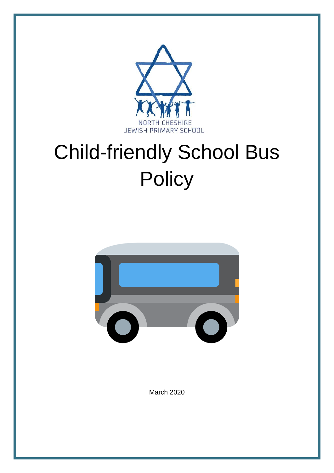

# Child-friendly School Bus **Policy**



March 2020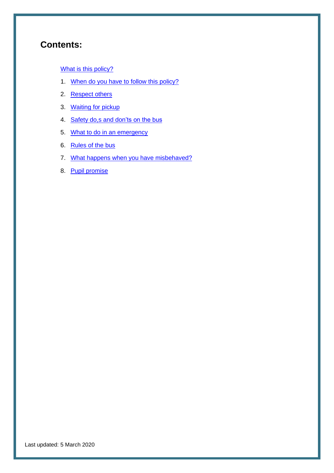# **Contents:**

[What is this policy?](#page-2-0)

- 1. When do you have to [follow this policy?](#page-3-0)
- 2. [Respect](#page-3-1) others
- 3. [Waiting for pickup](#page-3-2)
- 4. [Safety do,s and don'ts on the bus](#page-4-0)
- 5. [What to do in an emergency](#page-4-1)
- 6. [Rules of the bus](#page-4-2)
- 7. [What happens when you](#page-6-0) have misbehaved?
- 8. [Pupil promise](#page-6-1)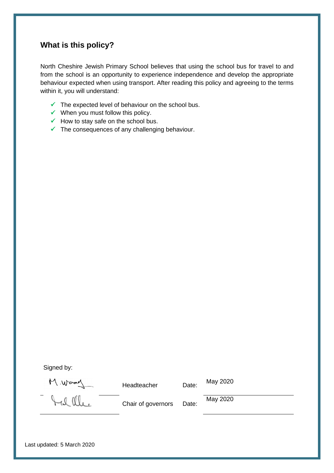### <span id="page-2-0"></span>**What is this policy?**

North Cheshire Jewish Primary School believes that using the school bus for travel to and from the school is an opportunity to experience independence and develop the appropriate behaviour expected when using transport. After reading this policy and agreeing to the terms within it, you will understand:

- $\checkmark$  The expected level of behaviour on the school bus.
- $\checkmark$  When you must follow this policy.
- $\checkmark$  How to stay safe on the school bus.
- $\checkmark$  The consequences of any challenging behaviour.

Signed by:

Headteacher Date: May 2020

M. Wood

Chair of governors Date:

May 2020

Last updated: 5 March 2020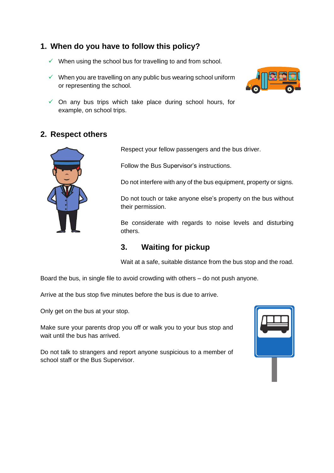## **1. When do you have to follow this policy?**

- <span id="page-3-0"></span> $\checkmark$  When using the school bus for travelling to and from school.
- $\checkmark$  When you are travelling on any public bus wearing school uniform or representing the school.



 $\checkmark$  On any bus trips which take place during school hours, for example, on school trips.

### **2. Respect others**

<span id="page-3-1"></span>

Respect your fellow passengers and the bus driver.

Follow the Bus Supervisor's instructions.

Do not interfere with any of the bus equipment, property or signs.

Do not touch or take anyone else's property on the bus without their permission.

Be considerate with regards to noise levels and disturbing others.

## <span id="page-3-2"></span>**3. Waiting for pickup**

Wait at a safe, suitable distance from the bus stop and the road.

Board the bus, in single file to avoid crowding with others – do not push anyone.

Arrive at the bus stop five minutes before the bus is due to arrive.

Only get on the bus at your stop.

Make sure your parents drop you off or walk you to your bus stop and wait until the bus has arrived.

Do not talk to strangers and report anyone suspicious to a member of school staff or the Bus Supervisor.

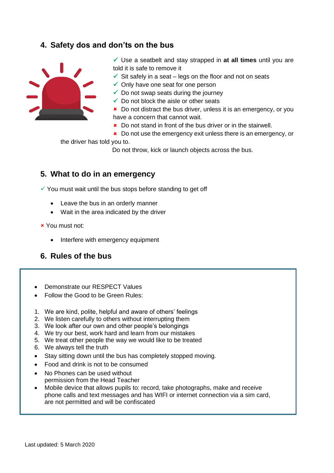#### <span id="page-4-2"></span>**4. Safety dos and don'ts on the bus**

<span id="page-4-0"></span>

✓ Use a seatbelt and stay strapped in **at all times** until you are told it is safe to remove it

- $\checkmark$  Sit safely in a seat legs on the floor and not on seats
- $\checkmark$  Only have one seat for one person
- $\checkmark$  Do not swap seats during the journey
- $\checkmark$  Do not block the aisle or other seats

**\*** Do not distract the bus driver, unless it is an emergency, or you have a concern that cannot wait.

- **\*** Do not stand in front of the bus driver or in the stairwell.
- **\*** Do not use the emergency exit unless there is an emergency, or

the driver has told you to.

Do not throw, kick or launch objects across the bus.

#### <span id="page-4-1"></span>**5. What to do in an emergency**

 $\checkmark$  You must wait until the bus stops before standing to get off

- Leave the bus in an orderly manner
- Wait in the area indicated by the driver
- You must not:
	- Interfere with emergency equipment

#### **6. Rules of the bus**

- Demonstrate our RESPECT Values
- Follow the Good to be Green Rules:
- 1. We are kind, polite, helpful and aware of others' feelings
- 2. We listen carefully to others without interrupting them
- 3. We look after our own and other people's belongings
- 4. We try our best, work hard and learn from our mistakes
- 5. We treat other people the way we would like to be treated
- 6. We always tell the truth
- Stay sitting down until the bus has completely stopped moving.
- Food and drink is not to be consumed
- No Phones can be used without permission from the Head Teacher
- Mobile device that allows pupils to: record, take photographs, make and receive phone calls and text messages and has WIFI or internet connection via a sim card, are not permitted and will be confiscated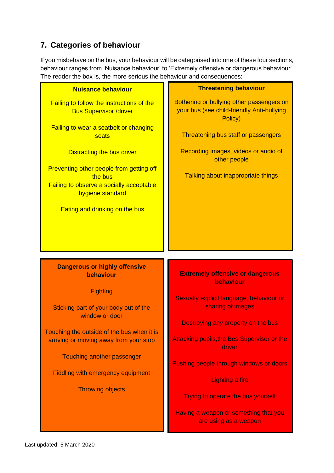## **7. Categories of behaviour**

If you misbehave on the bus, your behaviour will be categorised into one of these four sections, behaviour ranges from 'Nuisance behaviour' to 'Extremely offensive or dangerous behaviour'. The redder the box is, the more serious the behaviour and consequences:

| <b>Nuisance behaviour</b>                                                                                                  | <b>Threatening behaviour</b>                                                                       |
|----------------------------------------------------------------------------------------------------------------------------|----------------------------------------------------------------------------------------------------|
| <b>Failing to follow the instructions of the</b><br><b>Bus Supervisor /driver</b>                                          | Bothering or bullying other passengers on<br>your bus (see child-friendly Anti-bullying<br>Policy) |
| Failing to wear a seatbelt or changing<br>seats                                                                            | Threatening bus staff or passengers                                                                |
| <b>Distracting the bus driver</b>                                                                                          | Recording images, videos or audio of<br>other people                                               |
| Preventing other people from getting off<br>the bus<br><b>Failing to observe a socially acceptable</b><br>hygiene standard | Talking about inappropriate things                                                                 |
| <b>Eating and drinking on the bus</b>                                                                                      |                                                                                                    |
|                                                                                                                            |                                                                                                    |
|                                                                                                                            |                                                                                                    |
|                                                                                                                            |                                                                                                    |
| <b>Dangerous or highly offensive</b><br>behaviour                                                                          | <b>Extremely offensive or dangerous</b><br>behaviour                                               |
| <b>Fighting</b>                                                                                                            | Sexually explicit language, behaviour or                                                           |
| Sticking part of your body out of the                                                                                      | sharing of images                                                                                  |
| window or door                                                                                                             | Destroying any property on the bus                                                                 |
| Touching the outside of the bus when it is<br>arriving or moving away from your stop                                       | <b>Attacking pupils, the Bes Supervisor or the</b><br>driver                                       |
| <b>Touching another passenger</b>                                                                                          | Pushing people through windows or doors                                                            |
| <b>Fiddling with emergency equipment</b>                                                                                   | <b>Lighting a fire</b>                                                                             |
| <b>Throwing objects</b>                                                                                                    | Trying to operate the bus yourself                                                                 |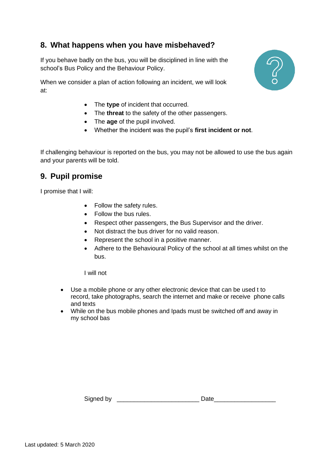### <span id="page-6-0"></span>**8. What happens when you have misbehaved?**

If you behave badly on the bus, you will be disciplined in line with the school's Bus Policy and the Behaviour Policy.

When we consider a plan of action following an incident, we will look at:

- The **type** of incident that occurred.
- The **threat** to the safety of the other passengers.
- The **age** of the pupil involved.
- Whether the incident was the pupil's **first incident or not**.

If challenging behaviour is reported on the bus, you may not be allowed to use the bus again and your parents will be told.

#### <span id="page-6-1"></span>**9. Pupil promise**

I promise that I will:

- Follow the safety rules.
- Follow the bus rules.
- Respect other passengers, the Bus Supervisor and the driver.
- Not distract the bus driver for no valid reason.
- Represent the school in a positive manner.
- Adhere to the Behavioural Policy of the school at all times whilst on the bus.

I will not

- Use a mobile phone or any other electronic device that can be used t to record, take photographs, search the internet and make or receive phone calls and texts
- While on the bus mobile phones and Ipads must be switched off and away in my school bas